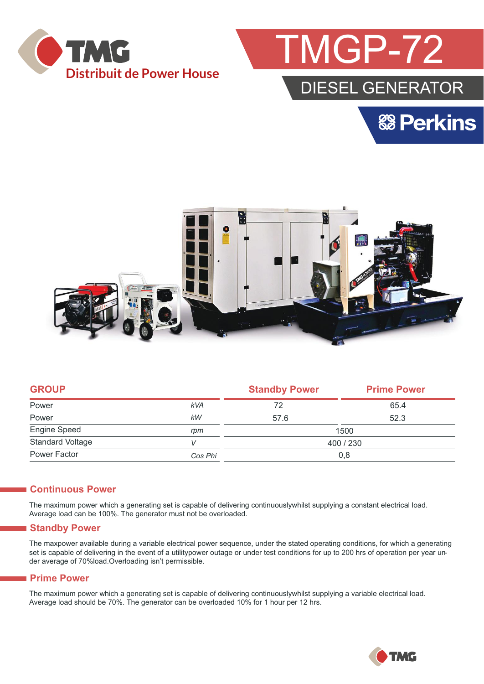



# DIESEL GENERATOR

**& Perkins** 



|            | <b>Standby Power</b> | <b>Prime Power</b> |  |
|------------|----------------------|--------------------|--|
| <b>kVA</b> | 72                   | 65.4               |  |
| kW         | 57.6                 | 52.3               |  |
| rpm        | 1500                 |                    |  |
|            | 400 / 230            |                    |  |
| Cos Phi    | 0,8                  |                    |  |
|            |                      |                    |  |

#### **Continuous Power**

The maximum power which a generating set is capable of delivering continuouslywhilst supplying a constant electrical load. Average load can be 100%. The generator must not be overloaded.

#### **Standby Power**

The maxpower available during a variable electrical power sequence, under the stated operating conditions, for which a generating set is capable of delivering in the event of a utilitypower outage or under test conditions for up to 200 hrs of operation per year under average of 70%load.Overloading isn't permissible.

#### **Prime Power**

The maximum power which a generating set is capable of delivering continuouslywhilst supplying a variable electrical load. Average load should be 70%. The generator can be overloaded 10% for 1 hour per 12 hrs.

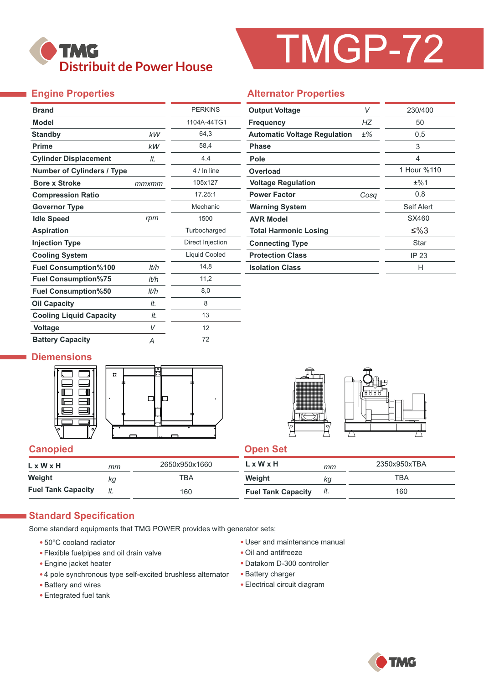

# TMGP-72

# **Engine Properties**

| <b>Brand</b>                      |       | <b>PERKINS</b>   |
|-----------------------------------|-------|------------------|
| <b>Model</b>                      |       | 1104A-44TG1      |
| <b>Standby</b>                    | kW    | 64,3             |
| <b>Prime</b>                      | kW    | 58,4             |
| <b>Cylinder Displacement</b>      | It.   | 4.4              |
| <b>Number of Cylinders / Type</b> |       | 4 / In line      |
| <b>Bore x Stroke</b>              | mmxmm | 105x127          |
| <b>Compression Ratio</b>          |       | 17.25:1          |
| <b>Governor Type</b>              |       | Mechanic         |
| <b>Idle Speed</b>                 | rpm   | 1500             |
| <b>Aspiration</b>                 |       | Turbocharged     |
| <b>Injection Type</b>             |       | Direct Injection |
| <b>Cooling System</b>             |       | Liquid Cooled    |
| <b>Fuel Consumption%100</b>       | lt/h  | 14,8             |
| <b>Fuel Consumption%75</b>        | It/h  | 11,2             |
| <b>Fuel Consumption%50</b>        | It/h  | 8,0              |
| <b>Oil Capacity</b>               | It.   | 8                |
| <b>Cooling Liquid Capacity</b>    | It.   | 13               |
| <b>Voltage</b>                    | V     | 12               |
| <b>Battery Capacity</b>           | Α     | 72               |

### **Alternator Properties**

| <b>Output Voltage</b>               | V     | 230/400     |
|-------------------------------------|-------|-------------|
| <b>Frequency</b>                    | НZ    | 50          |
| <b>Automatic Voltage Regulation</b> | $±\%$ | 0,5         |
| <b>Phase</b>                        |       | 3           |
| Pole                                |       | 4           |
| <b>Overload</b>                     |       | 1 Hour %110 |
| <b>Voltage Regulation</b>           |       | ±%1         |
| <b>Power Factor</b>                 | Cosa  | 0,8         |
| <b>Warning System</b>               |       | Self Alert  |
| <b>AVR Model</b>                    |       | SX460       |
| <b>Total Harmonic Losing</b>        |       | ≤%3         |
| <b>Connecting Type</b>              |       | Star        |
| <b>Protection Class</b>             |       | IP 23       |
| <b>Isolation Class</b>              |       | н           |

#### **Diemensions**





# **Canopied Canopied Canopied Canopied Canopied Canopied Canopied Canopied Canopied Canopied Canopied Canopied Canopied Canopied Canopied Canopied Canopied Canopied Canopied Canopied Canopied Canopied Canopied Canopied Canop**

| LxWxH                     | mт  | 2650x950x1660 | $L \times W \times H$     | mm  | 2350x950xTBA |
|---------------------------|-----|---------------|---------------------------|-----|--------------|
| Weight                    | kg  | TBA           | Weight                    | ΚG  | <b>TBA</b>   |
| <b>Fuel Tank Capacity</b> | It. | 160           | <b>Fuel Tank Capacity</b> | It. | 160          |

#### **Standard Specification**

Some standard equipments that TMG POWER provides with generator sets;

- 50°C cooland radiator
- Flexible fuelpipes and oil drain valve
- Engine jacket heater
- 4 pole synchronous type self-excited brushless alternator
- Battery and wires
- Entegrated fuel tank
- User and maintenance manual
- Oil and antifreeze
- Datakom D-300 controller
- Battery charger
- Electrical circuit diagram